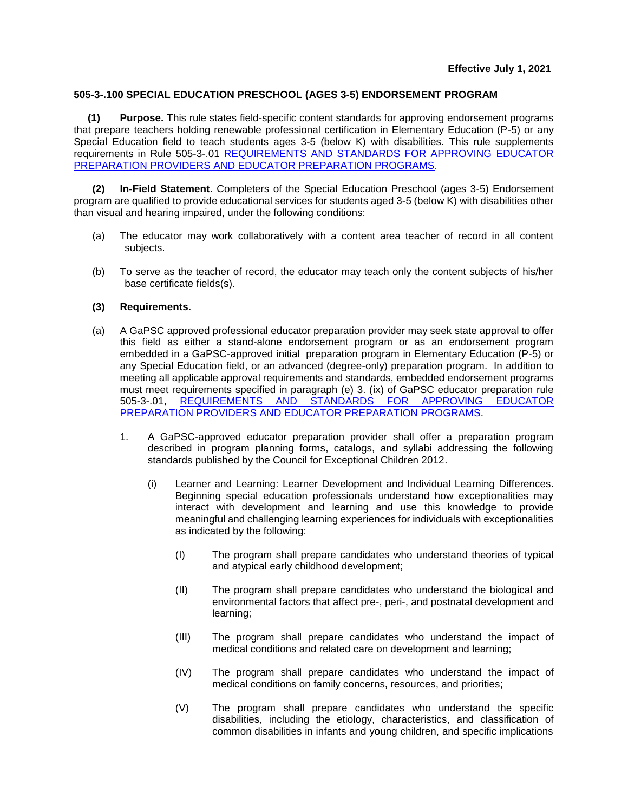## **505-3-.100 SPECIAL EDUCATION PRESCHOOL (AGES 3-5) ENDORSEMENT PROGRAM**

**(1) Purpose.** This rule states field-specific content standards for approving endorsement programs that prepare teachers holding renewable professional certification in Elementary Education (P-5) or any Special Education field to teach students ages 3-5 (below K) with disabilities. This rule supplements requirements in Rule 505-3-.01 [REQUIREMENTS AND STANDARDS FOR APPROVING](https://www.gapsc.com/Rules/Current/EducatorPreparation/505-3-.01.pdf?dt=%3C%25#Eval() EDUCATOR PREPARATION PROVIDERS [AND EDUCATOR PREPARATION PROGRAMS.](https://www.gapsc.com/Rules/Current/EducatorPreparation/505-3-.01.pdf?dt=%3C%25#Eval()

**(2) In-Field Statement**. Completers of the Special Education Preschool (ages 3-5) Endorsement program are qualified to provide educational services for students aged 3-5 (below K) with disabilities other than visual and hearing impaired, under the following conditions:

- (a) The educator may work collaboratively with a content area teacher of record in all content subjects.
- (b) To serve as the teacher of record, the educator may teach only the content subjects of his/her base certificate fields(s).

## **(3) Requirements.**

- (a) A GaPSC approved professional educator preparation provider may seek state approval to offer this field as either a stand-alone endorsement program or as an endorsement program embedded in a GaPSC-approved initial preparation program in Elementary Education (P-5) or any Special Education field, or an advanced (degree-only) preparation program. In addition to meeting all applicable approval requirements and standards, embedded endorsement programs must meet requirements specified in paragraph (e) 3. (ix) of GaPSC educator preparation rule 505-3-.01, [REQUIREMENTS AND STANDARDS FOR APPROVING](https://www.gapsc.com/Rules/Current/EducatorPreparation/505-3-.01.pdf?dt=%3C%25#Eval() EDUCATOR [PREPARATION PROVIDERS AND EDUCATOR PREPARATION PROGRAMS.](https://www.gapsc.com/Rules/Current/EducatorPreparation/505-3-.01.pdf?dt=%3C%25#Eval()
	- 1. A GaPSC-approved educator preparation provider shall offer a preparation program described in program planning forms, catalogs, and syllabi addressing the following standards published by the Council for Exceptional Children 2012.
		- (i) Learner and Learning: Learner Development and Individual Learning Differences. Beginning special education professionals understand how exceptionalities may interact with development and learning and use this knowledge to provide meaningful and challenging learning experiences for individuals with exceptionalities as indicated by the following:
			- (I) The program shall prepare candidates who understand theories of typical and atypical early childhood development;
			- (II) The program shall prepare candidates who understand the biological and environmental factors that affect pre-, peri-, and postnatal development and learning;
			- (III) The program shall prepare candidates who understand the impact of medical conditions and related care on development and learning;
			- (IV) The program shall prepare candidates who understand the impact of medical conditions on family concerns, resources, and priorities;
			- (V) The program shall prepare candidates who understand the specific disabilities, including the etiology, characteristics, and classification of common disabilities in infants and young children, and specific implications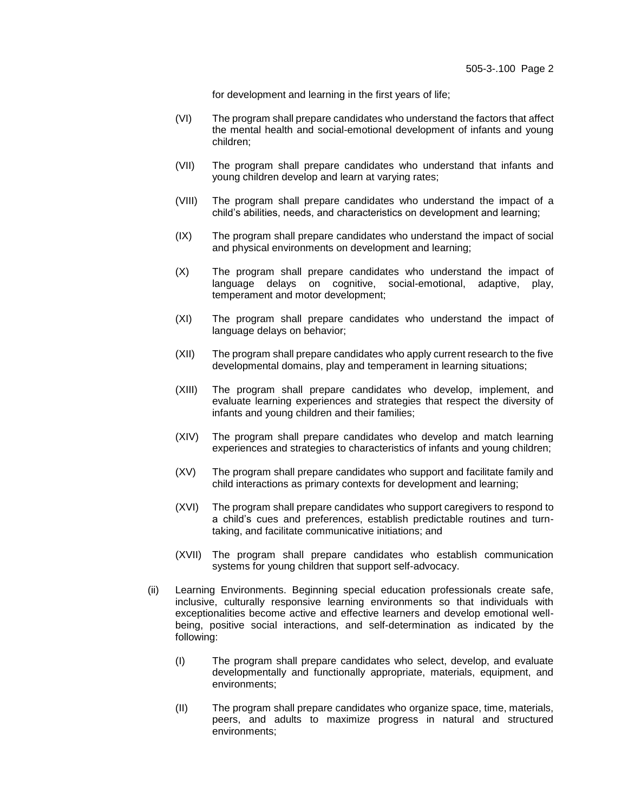for development and learning in the first years of life;

- (VI) The program shall prepare candidates who understand the factors that affect the mental health and social-emotional development of infants and young children;
- (VII) The program shall prepare candidates who understand that infants and young children develop and learn at varying rates;
- (VIII) The program shall prepare candidates who understand the impact of a child's abilities, needs, and characteristics on development and learning;
- (IX) The program shall prepare candidates who understand the impact of social and physical environments on development and learning;
- (X) The program shall prepare candidates who understand the impact of language delays on cognitive, social-emotional, adaptive, play, temperament and motor development;
- (XI) The program shall prepare candidates who understand the impact of language delays on behavior;
- (XII) The program shall prepare candidates who apply current research to the five developmental domains, play and temperament in learning situations;
- (XIII) The program shall prepare candidates who develop, implement, and evaluate learning experiences and strategies that respect the diversity of infants and young children and their families;
- (XIV) The program shall prepare candidates who develop and match learning experiences and strategies to characteristics of infants and young children;
- (XV) The program shall prepare candidates who support and facilitate family and child interactions as primary contexts for development and learning;
- (XVI) The program shall prepare candidates who support caregivers to respond to a child's cues and preferences, establish predictable routines and turntaking, and facilitate communicative initiations; and
- (XVII) The program shall prepare candidates who establish communication systems for young children that support self-advocacy.
- (ii) Learning Environments. Beginning special education professionals create safe, inclusive, culturally responsive learning environments so that individuals with exceptionalities become active and effective learners and develop emotional wellbeing, positive social interactions, and self-determination as indicated by the following:
	- (I) The program shall prepare candidates who select, develop, and evaluate developmentally and functionally appropriate, materials, equipment, and environments;
	- (II) The program shall prepare candidates who organize space, time, materials, peers, and adults to maximize progress in natural and structured environments;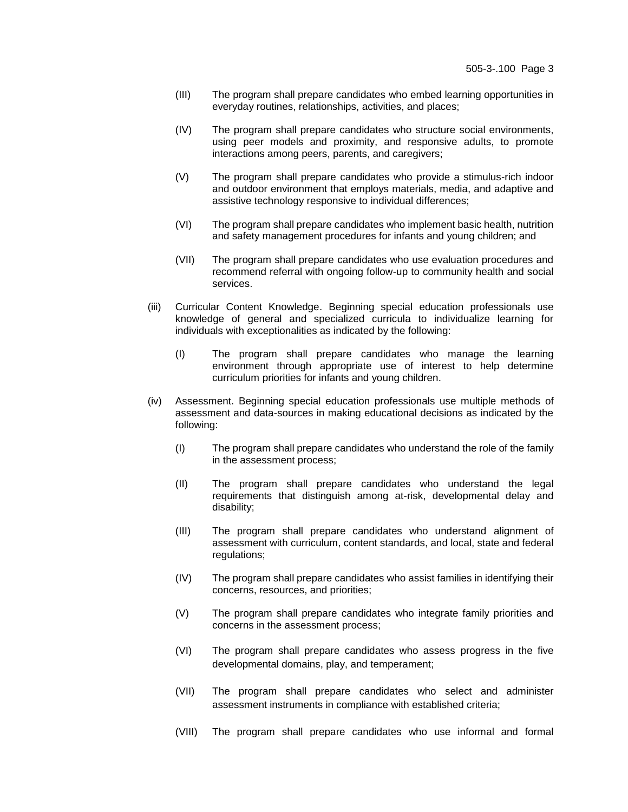- (III) The program shall prepare candidates who embed learning opportunities in everyday routines, relationships, activities, and places;
- (IV) The program shall prepare candidates who structure social environments, using peer models and proximity, and responsive adults, to promote interactions among peers, parents, and caregivers;
- (V) The program shall prepare candidates who provide a stimulus-rich indoor and outdoor environment that employs materials, media, and adaptive and assistive technology responsive to individual differences;
- (VI) The program shall prepare candidates who implement basic health, nutrition and safety management procedures for infants and young children; and
- (VII) The program shall prepare candidates who use evaluation procedures and recommend referral with ongoing follow-up to community health and social services.
- (iii) Curricular Content Knowledge. Beginning special education professionals use knowledge of general and specialized curricula to individualize learning for individuals with exceptionalities as indicated by the following:
	- (I) The program shall prepare candidates who manage the learning environment through appropriate use of interest to help determine curriculum priorities for infants and young children.
- (iv) Assessment. Beginning special education professionals use multiple methods of assessment and data-sources in making educational decisions as indicated by the following:
	- (I) The program shall prepare candidates who understand the role of the family in the assessment process;
	- (II) The program shall prepare candidates who understand the legal requirements that distinguish among at-risk, developmental delay and disability;
	- (III) The program shall prepare candidates who understand alignment of assessment with curriculum, content standards, and local, state and federal regulations;
	- (IV) The program shall prepare candidates who assist families in identifying their concerns, resources, and priorities;
	- (V) The program shall prepare candidates who integrate family priorities and concerns in the assessment process;
	- (VI) The program shall prepare candidates who assess progress in the five developmental domains, play, and temperament;
	- (VII) The program shall prepare candidates who select and administer assessment instruments in compliance with established criteria;
	- (VIII) The program shall prepare candidates who use informal and formal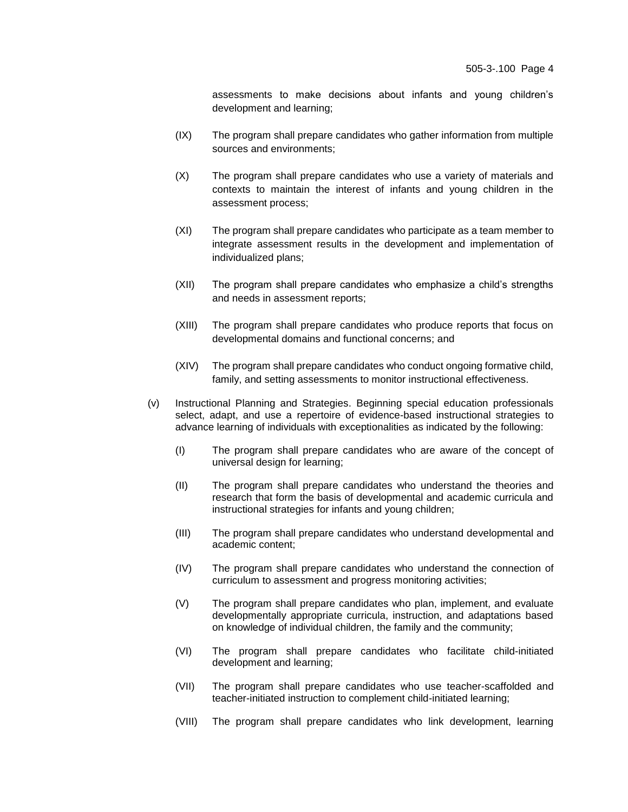assessments to make decisions about infants and young children's development and learning;

- (IX) The program shall prepare candidates who gather information from multiple sources and environments;
- (X) The program shall prepare candidates who use a variety of materials and contexts to maintain the interest of infants and young children in the assessment process;
- (XI) The program shall prepare candidates who participate as a team member to integrate assessment results in the development and implementation of individualized plans;
- (XII) The program shall prepare candidates who emphasize a child's strengths and needs in assessment reports;
- (XIII) The program shall prepare candidates who produce reports that focus on developmental domains and functional concerns; and
- (XIV) The program shall prepare candidates who conduct ongoing formative child, family, and setting assessments to monitor instructional effectiveness.
- (v) Instructional Planning and Strategies. Beginning special education professionals select, adapt, and use a repertoire of evidence-based instructional strategies to advance learning of individuals with exceptionalities as indicated by the following:
	- (I) The program shall prepare candidates who are aware of the concept of universal design for learning;
	- (II) The program shall prepare candidates who understand the theories and research that form the basis of developmental and academic curricula and instructional strategies for infants and young children;
	- (III) The program shall prepare candidates who understand developmental and academic content;
	- (IV) The program shall prepare candidates who understand the connection of curriculum to assessment and progress monitoring activities;
	- (V) The program shall prepare candidates who plan, implement, and evaluate developmentally appropriate curricula, instruction, and adaptations based on knowledge of individual children, the family and the community;
	- (VI) The program shall prepare candidates who facilitate child-initiated development and learning;
	- (VII) The program shall prepare candidates who use teacher-scaffolded and teacher-initiated instruction to complement child-initiated learning;
	- (VIII) The program shall prepare candidates who link development, learning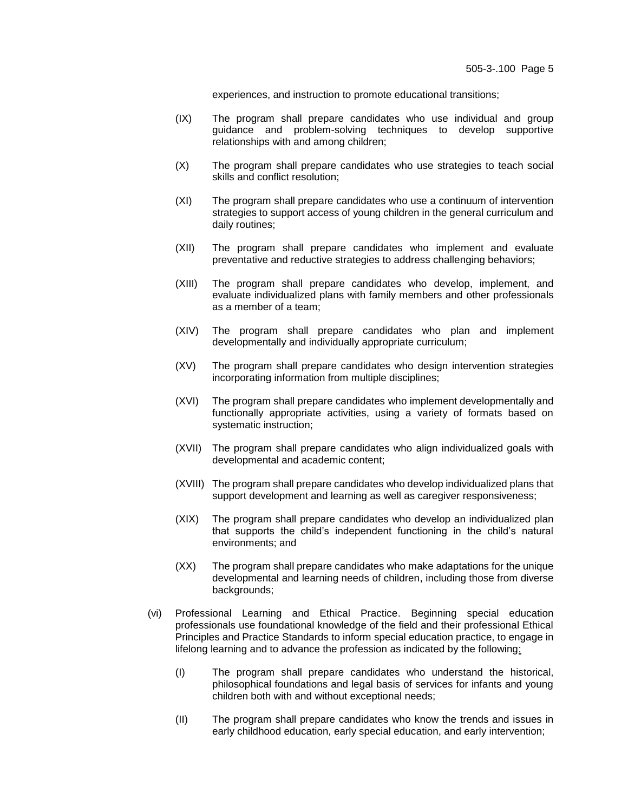experiences, and instruction to promote educational transitions;

- (IX) The program shall prepare candidates who use individual and group guidance and problem-solving techniques to develop supportive relationships with and among children;
- (X) The program shall prepare candidates who use strategies to teach social skills and conflict resolution;
- (XI) The program shall prepare candidates who use a continuum of intervention strategies to support access of young children in the general curriculum and daily routines;
- (XII) The program shall prepare candidates who implement and evaluate preventative and reductive strategies to address challenging behaviors;
- (XIII) The program shall prepare candidates who develop, implement, and evaluate individualized plans with family members and other professionals as a member of a team;
- (XIV) The program shall prepare candidates who plan and implement developmentally and individually appropriate curriculum;
- (XV) The program shall prepare candidates who design intervention strategies incorporating information from multiple disciplines;
- (XVI) The program shall prepare candidates who implement developmentally and functionally appropriate activities, using a variety of formats based on systematic instruction;
- (XVII) The program shall prepare candidates who align individualized goals with developmental and academic content;
- (XVIII) The program shall prepare candidates who develop individualized plans that support development and learning as well as caregiver responsiveness;
- (XIX) The program shall prepare candidates who develop an individualized plan that supports the child's independent functioning in the child's natural environments; and
- (XX) The program shall prepare candidates who make adaptations for the unique developmental and learning needs of children, including those from diverse backgrounds;
- (vi) Professional Learning and Ethical Practice. Beginning special education professionals use foundational knowledge of the field and their professional Ethical Principles and Practice Standards to inform special education practice, to engage in lifelong learning and to advance the profession as indicated by the following:
	- (I) The program shall prepare candidates who understand the historical, philosophical foundations and legal basis of services for infants and young children both with and without exceptional needs;
	- (II) The program shall prepare candidates who know the trends and issues in early childhood education, early special education, and early intervention;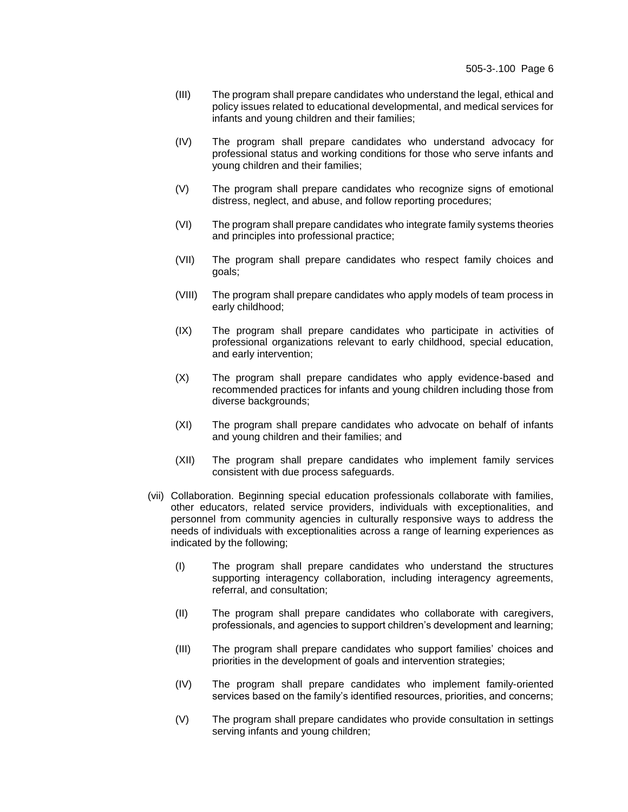- (III) The program shall prepare candidates who understand the legal, ethical and policy issues related to educational developmental, and medical services for infants and young children and their families;
- (IV) The program shall prepare candidates who understand advocacy for professional status and working conditions for those who serve infants and young children and their families;
- (V) The program shall prepare candidates who recognize signs of emotional distress, neglect, and abuse, and follow reporting procedures;
- (VI) The program shall prepare candidates who integrate family systems theories and principles into professional practice;
- (VII) The program shall prepare candidates who respect family choices and goals;
- (VIII) The program shall prepare candidates who apply models of team process in early childhood;
- (IX) The program shall prepare candidates who participate in activities of professional organizations relevant to early childhood, special education, and early intervention;
- (X) The program shall prepare candidates who apply evidence-based and recommended practices for infants and young children including those from diverse backgrounds;
- (XI) The program shall prepare candidates who advocate on behalf of infants and young children and their families; and
- (XII) The program shall prepare candidates who implement family services consistent with due process safeguards.
- (vii) Collaboration. Beginning special education professionals collaborate with families, other educators, related service providers, individuals with exceptionalities, and personnel from community agencies in culturally responsive ways to address the needs of individuals with exceptionalities across a range of learning experiences as indicated by the following;
	- (I) The program shall prepare candidates who understand the structures supporting interagency collaboration, including interagency agreements, referral, and consultation;
	- (II) The program shall prepare candidates who collaborate with caregivers, professionals, and agencies to support children's development and learning;
	- (III) The program shall prepare candidates who support families' choices and priorities in the development of goals and intervention strategies;
	- (IV) The program shall prepare candidates who implement family-oriented services based on the family's identified resources, priorities, and concerns;
	- (V) The program shall prepare candidates who provide consultation in settings serving infants and young children;